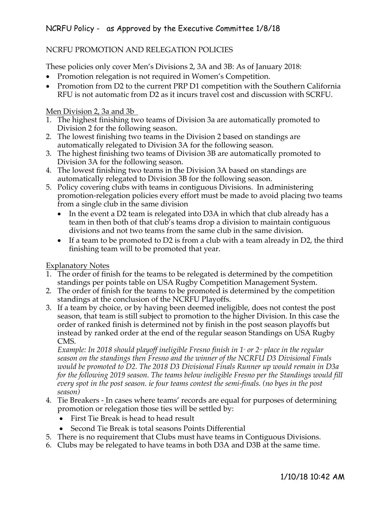# NCRFU Policy - as Approved by the Executive Committee 1/8/18

## NCRFU PROMOTION AND RELEGATION POLICIES

These policies only cover Men's Divisions 2, 3A and 3B: As of January 2018:

- Promotion relegation is not required in Women's Competition.
- Promotion from D2 to the current PRP D1 competition with the Southern California RFU is not automatic from D2 as it incurs travel cost and discussion with SCRFU.

### Men Division 2, 3a and 3b

- 1. The highest finishing two teams of Division 3a are automatically promoted to Division 2 for the following season.
- 2. The lowest finishing two teams in the Division 2 based on standings are automatically relegated to Division 3A for the following season.
- 3. The highest finishing two teams of Division 3B are automatically promoted to Division 3A for the following season.
- 4. The lowest finishing two teams in the Division 3A based on standings are automatically relegated to Division 3B for the following season.
- 5. Policy covering clubs with teams in contiguous Divisions. In administering promotion-relegation policies every effort must be made to avoid placing two teams from a single club in the same division
	- In the event a D2 team is relegated into D3A in which that club already has a team in then both of that club's teams drop a division to maintain contiguous divisions and not two teams from the same club in the same division.
	- If a team to be promoted to D2 is from a club with a team already in D2, the third finishing team will to be promoted that year.

### Explanatory Notes

- 1. The order of finish for the teams to be relegated is determined by the competition standings per points table on USA Rugby Competition Management System.
- 2. The order of finish for the teams to be promoted is determined by the competition standings at the conclusion of the NCRFU Playoffs.
- 3. If a team by choice, or by having been deemed ineligible, does not contest the post season, that team is still subject to promotion to the higher Division. In this case the order of ranked finish is determined not by finish in the post season playoffs but instead by ranked order at the end of the regular season Standings on USA Rugby CMS.

*Example: In 2018 should playoff ineligible Fresno finish in 1<sup>* $\scriptstyle\rm I$ *</sup> or 2<sup>* $\scriptstyle\rm u$ *</sup> place in the regular season on the standings then Fresno and the winner of the NCRFU D3 Divisional Finals would be promoted to D2. The 2018 D3 Divisional Finals Runner up would remain in D3a for the following 2019 season. The teams below ineligible Fresno per the Standings would fill every spot in the post season. ie four teams contest the semi-finals. (no byes in the post season)*

- 4. Tie Breakers In cases where teams' records are equal for purposes of determining promotion or relegation those ties will be settled by:
	- First Tie Break is head to head result
	- Second Tie Break is total seasons Points Differential
- 5. There is no requirement that Clubs must have teams in Contiguous Divisions.
- 6. Clubs may be relegated to have teams in both D3A and D3B at the same time.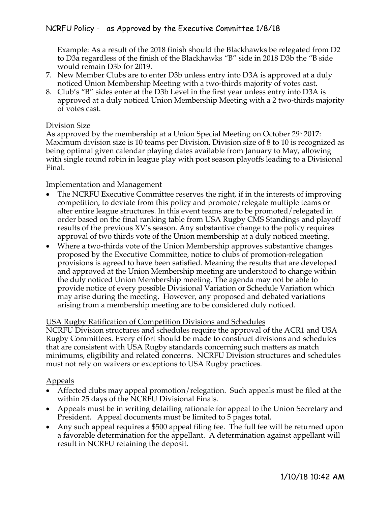Example: As a result of the 2018 finish should the Blackhawks be relegated from D2 to D3a regardless of the finish of the Blackhawks "B" side in 2018 D3b the "B side would remain D3b for 2019.

- 7. New Member Clubs are to enter D3b unless entry into D3A is approved at a duly noticed Union Membership Meeting with a two-thirds majority of votes cast.
- 8. Club's "B" sides enter at the D3b Level in the first year unless entry into D3A is approved at a duly noticed Union Membership Meeting with a 2 two-thirds majority of votes cast.

### Division Size

As approved by the membership at a Union Special Meeting on October  $29^{\text{th}}$  2017: Maximum division size is 10 teams per Division. Division size of 8 to 10 is recognized as being optimal given calendar playing dates available from January to May, allowing with single round robin in league play with post season playoffs leading to a Divisional Final.

### Implementation and Management

- The NCRFU Executive Committee reserves the right, if in the interests of improving competition, to deviate from this policy and promote/relegate multiple teams or alter entire league structures. In this event teams are to be promoted/relegated in order based on the final ranking table from USA Rugby CMS Standings and playoff results of the previous XV's season. Any substantive change to the policy requires approval of two thirds vote of the Union membership at a duly noticed meeting.
- Where a two-thirds vote of the Union Membership approves substantive changes proposed by the Executive Committee, notice to clubs of promotion-relegation provisions is agreed to have been satisfied. Meaning the results that are developed and approved at the Union Membership meeting are understood to change within the duly noticed Union Membership meeting. The agenda may not be able to provide notice of every possible Divisional Variation or Schedule Variation which may arise during the meeting. However, any proposed and debated variations arising from a membership meeting are to be considered duly noticed.

### USA Rugby Ratification of Competition Divisions and Schedules

NCRFU Division structures and schedules require the approval of the ACR1 and USA Rugby Committees. Every effort should be made to construct divisions and schedules that are consistent with USA Rugby standards concerning such matters as match minimums, eligibility and related concerns. NCRFU Division structures and schedules must not rely on waivers or exceptions to USA Rugby practices.

### Appeals

- Affected clubs may appeal promotion/relegation. Such appeals must be filed at the within 25 days of the NCRFU Divisional Finals.
- Appeals must be in writing detailing rationale for appeal to the Union Secretary and President. Appeal documents must be limited to 5 pages total.
- Any such appeal requires a \$500 appeal filing fee. The full fee will be returned upon a favorable determination for the appellant. A determination against appellant will result in NCRFU retaining the deposit.